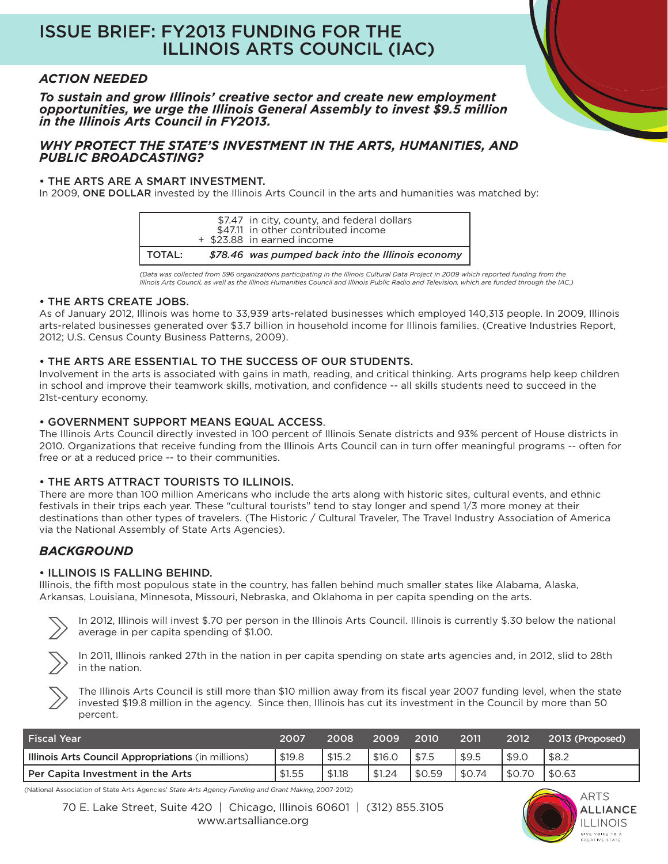# ISSUE BRIEF: FY2013 FUNDING FOR THE ILLINOIS ARTS COUNCIL (IAC)

# *ACTION NEEDED*

*To sustain and grow Illinois' creative sector and create new employment opportunities, we urge the Illinois General Assembly to invest \$9.5 million in the Illinois Arts Council in FY2013.*

#### *WHY PROTECT THE STATE'S INVESTMENT IN THE ARTS, HUMANITIES, AND PUBLIC BROADCASTING?*

#### • THE ARTS ARE A SMART INVESTMENT.

In 2009, ONE DOLLAR invested by the Illinois Arts Council in the arts and humanities was matched by:

|          | \$7.47 in city, county, and federal dollars<br>\$47.11 in other contributed income<br>+ \$23.88 in earned income |
|----------|------------------------------------------------------------------------------------------------------------------|
| I TOTAL: | \$78.46 was pumped back into the Illinois economy                                                                |

*(Data was collected from 596 organizations participating in the Illinois Cultural Data Project in 2009 which reported funding from the Illinois Arts Council, as well as the Illinois Humanities Council and Illinois Public Radio and Television, which are funded through the IAC.)*

#### • THE ARTS CREATE JOBS.

As of January 2012, Illinois was home to 33,939 arts-related businesses which employed 140,313 people. In 2009, Illinois arts-related businesses generated over \$3.7 billion in household income for Illinois families. (Creative Industries Report, 2012; U.S. Census County Business Patterns, 2009).

## • THE ARTS ARE ESSENTIAL TO THE SUCCESS OF OUR STUDENTS.

Involvement in the arts is associated with gains in math, reading, and critical thinking. Arts programs help keep children in school and improve their teamwork skills, motivation, and confidence -- all skills students need to succeed in the 21st-century economy.

#### • GOVERNMENT SUPPORT MEANS EQUAL ACCESS.

The Illinois Arts Council directly invested in 100 percent of Illinois Senate districts and 93% percent of House districts in 2010. Organizations that receive funding from the Illinois Arts Council can in turn offer meaningful programs -- often for free or at a reduced price -- to their communities.

## • THE ARTS ATTRACT TOURISTS TO ILLINOIS.

There are more than 100 million Americans who include the arts along with historic sites, cultural events, and ethnic festivals in their trips each year. These "cultural tourists" tend to stay longer and spend 1/3 more money at their destinations than other types of travelers. (The Historic / Cultural Traveler, The Travel Industry Association of America via the National Assembly of State Arts Agencies).

# *BACKGROUND*

## • ILLINOIS IS FALLING BEHIND.

Illinois, the fifth most populous state in the country, has fallen behind much smaller states like Alabama, Alaska, Arkansas, Louisiana, Minnesota, Missouri, Nebraska, and Oklahoma in per capita spending on the arts.



In 2012, Illinois will invest \$.70 per person in the Illinois Arts Council. Illinois is currently \$.30 below the national average in per capita spending of \$1.00.



The Illinois Arts Council is still more than \$10 million away from its fiscal year 2007 funding level, when the state invested \$19.8 million in the agency. Since then, Illinois has cut its investment in the Council by more than 50 percent.

| <b>Fiscal Year</b>                                 | 2007   | 2008   | 2009   | 2010   | 2011   | 2012   | 2013 (Proposed) |
|----------------------------------------------------|--------|--------|--------|--------|--------|--------|-----------------|
| Illinois Arts Council Appropriations (in millions) | \$19.8 | \$15.2 | \$16.0 | \$7.5  | \$9.5  | \$9.0  | \$8.2           |
| Per Capita Investment in the Arts                  | \$1.55 | \$1.18 | \$1.24 | \$0.59 | \$0.74 | \$0.70 | <b>SO.63</b>    |

(National Association of State Arts Agencies' *State Arts Agency Funding and Grant Making*, 2007-2012)

70 E. Lake Street, Suite 420 | Chicago, Illinois 60601 | (312) 855.3105 www.artsalliance.org